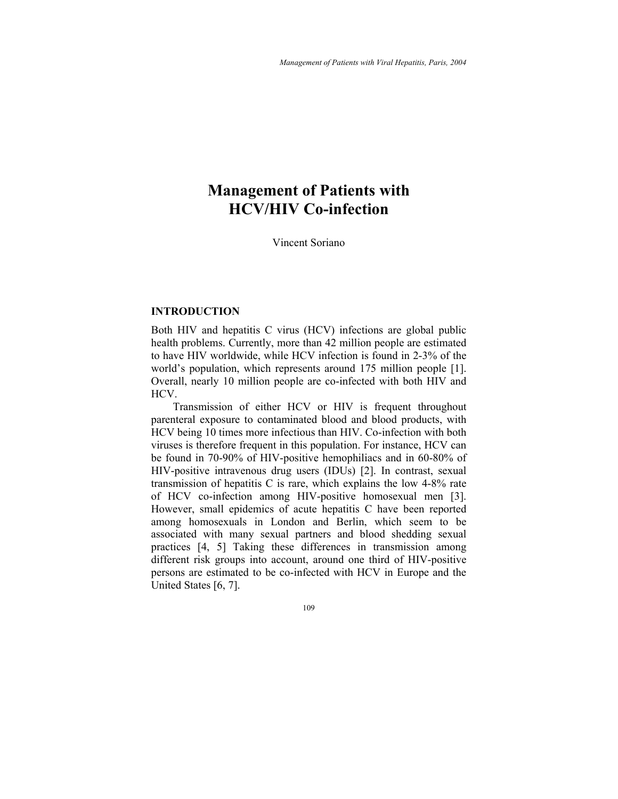# **Management of Patients with HCV/HIV Co-infection**

Vincent Soriano

### **INTRODUCTION**

Both HIV and hepatitis C virus (HCV) infections are global public health problems. Currently, more than 42 million people are estimated to have HIV worldwide, while HCV infection is found in 2-3% of the world's population, which represents around 175 million people [1]. Overall, nearly 10 million people are co-infected with both HIV and HCV.

Transmission of either HCV or HIV is frequent throughout parenteral exposure to contaminated blood and blood products, with HCV being 10 times more infectious than HIV. Co-infection with both viruses is therefore frequent in this population. For instance, HCV can be found in 70-90% of HIV-positive hemophiliacs and in 60-80% of HIV-positive intravenous drug users (IDUs) [2]. In contrast, sexual transmission of hepatitis C is rare, which explains the low 4-8% rate of HCV co-infection among HIV-positive homosexual men [3]. However, small epidemics of acute hepatitis C have been reported among homosexuals in London and Berlin, which seem to be associated with many sexual partners and blood shedding sexual practices [4, 5] Taking these differences in transmission among different risk groups into account, around one third of HIV-positive persons are estimated to be co-infected with HCV in Europe and the United States [6, 7].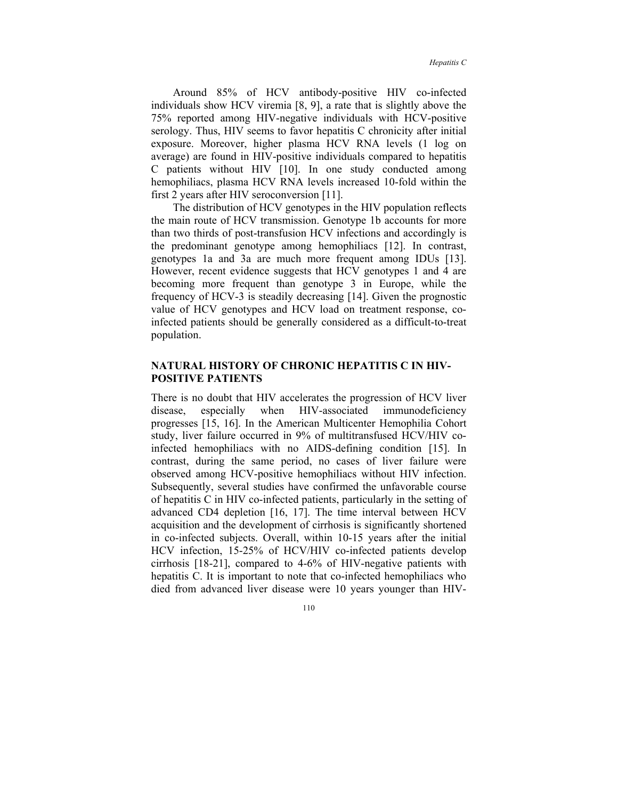Around 85% of HCV antibody-positive HIV co-infected individuals show HCV viremia [8, 9], a rate that is slightly above the 75% reported among HIV-negative individuals with HCV-positive serology. Thus, HIV seems to favor hepatitis C chronicity after initial exposure. Moreover, higher plasma HCV RNA levels (1 log on average) are found in HIV-positive individuals compared to hepatitis C patients without HIV [10]. In one study conducted among hemophiliacs, plasma HCV RNA levels increased 10-fold within the first 2 years after HIV seroconversion [11].

The distribution of HCV genotypes in the HIV population reflects the main route of HCV transmission. Genotype 1b accounts for more than two thirds of post-transfusion HCV infections and accordingly is the predominant genotype among hemophiliacs [12]. In contrast, genotypes 1a and 3a are much more frequent among IDUs [13]. However, recent evidence suggests that HCV genotypes 1 and 4 are becoming more frequent than genotype 3 in Europe, while the frequency of HCV-3 is steadily decreasing [14]. Given the prognostic value of HCV genotypes and HCV load on treatment response, coinfected patients should be generally considered as a difficult-to-treat population.

## **NATURAL HISTORY OF CHRONIC HEPATITIS C IN HIV-POSITIVE PATIENTS**

There is no doubt that HIV accelerates the progression of HCV liver disease, especially when HIV-associated immunodeficiency progresses [15, 16]. In the American Multicenter Hemophilia Cohort study, liver failure occurred in 9% of multitransfused HCV/HIV coinfected hemophiliacs with no AIDS-defining condition [15]. In contrast, during the same period, no cases of liver failure were observed among HCV-positive hemophiliacs without HIV infection. Subsequently, several studies have confirmed the unfavorable course of hepatitis C in HIV co-infected patients, particularly in the setting of advanced CD4 depletion [16, 17]. The time interval between HCV acquisition and the development of cirrhosis is significantly shortened in co-infected subjects. Overall, within 10-15 years after the initial HCV infection, 15-25% of HCV/HIV co-infected patients develop cirrhosis [18-21], compared to 4-6% of HIV-negative patients with hepatitis C. It is important to note that co-infected hemophiliacs who died from advanced liver disease were 10 years younger than HIV-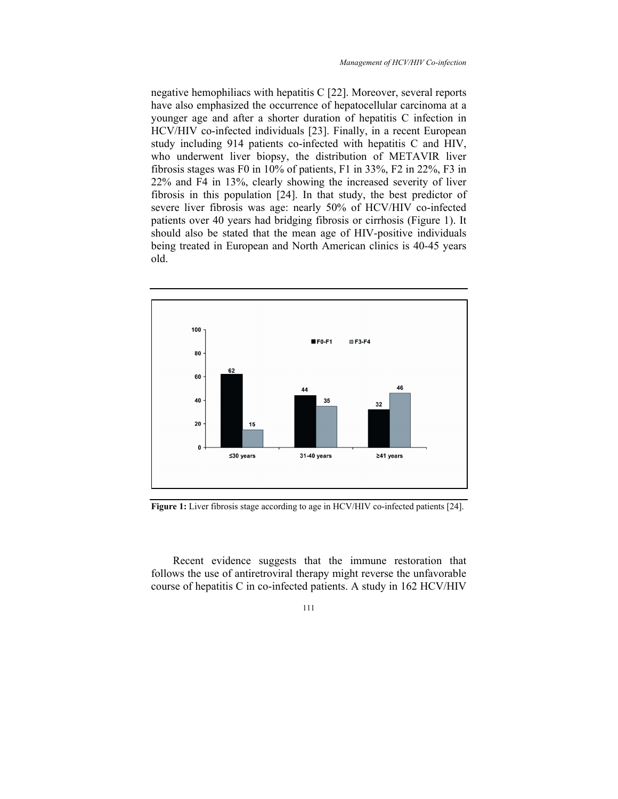negative hemophiliacs with hepatitis C [22]. Moreover, several reports have also emphasized the occurrence of hepatocellular carcinoma at a younger age and after a shorter duration of hepatitis C infection in HCV/HIV co-infected individuals [23]. Finally, in a recent European study including 914 patients co-infected with hepatitis C and HIV, who underwent liver biopsy, the distribution of METAVIR liver fibrosis stages was F0 in 10% of patients, F1 in 33%, F2 in 22%, F3 in 22% and F4 in 13%, clearly showing the increased severity of liver fibrosis in this population [24]. In that study, the best predictor of severe liver fibrosis was age: nearly 50% of HCV/HIV co-infected patients over 40 years had bridging fibrosis or cirrhosis (Figure 1). It should also be stated that the mean age of HIV-positive individuals being treated in European and North American clinics is 40-45 years old.



Figure 1: Liver fibrosis stage according to age in HCV/HIV co-infected patients [24].

Recent evidence suggests that the immune restoration that follows the use of antiretroviral therapy might reverse the unfavorable course of hepatitis C in co-infected patients. A study in 162 HCV/HIV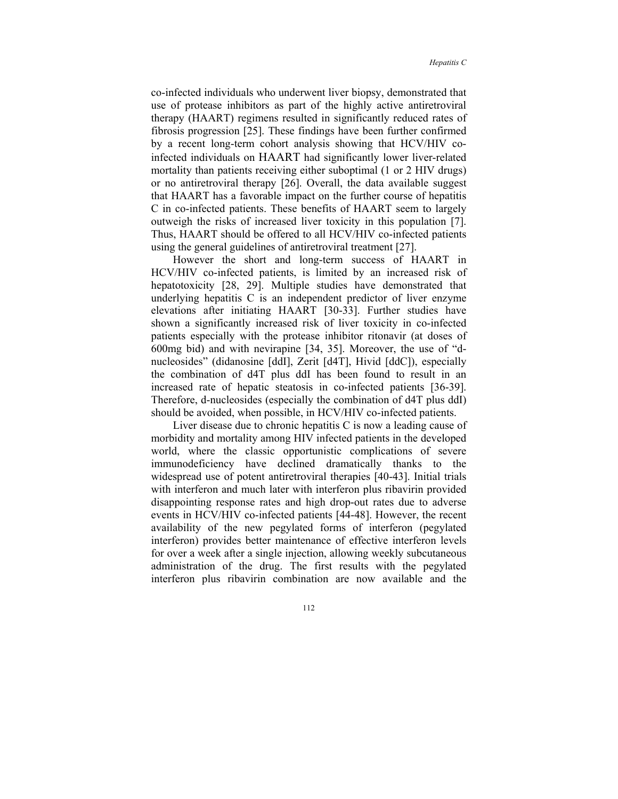co-infected individuals who underwent liver biopsy, demonstrated that use of protease inhibitors as part of the highly active antiretroviral therapy (HAART) regimens resulted in significantly reduced rates of fibrosis progression [25]. These findings have been further confirmed by a recent long-term cohort analysis showing that HCV/HIV coinfected individuals on HAART had significantly lower liver-related mortality than patients receiving either suboptimal (1 or 2 HIV drugs) or no antiretroviral therapy [26]. Overall, the data available suggest that HAART has a favorable impact on the further course of hepatitis C in co-infected patients. These benefits of HAART seem to largely outweigh the risks of increased liver toxicity in this population [7]. Thus, HAART should be offered to all HCV/HIV co-infected patients using the general guidelines of antiretroviral treatment [27].

However the short and long-term success of HAART in HCV/HIV co-infected patients, is limited by an increased risk of hepatotoxicity [28, 29]. Multiple studies have demonstrated that underlying hepatitis C is an independent predictor of liver enzyme elevations after initiating HAART [30-33]. Further studies have shown a significantly increased risk of liver toxicity in co-infected patients especially with the protease inhibitor ritonavir (at doses of 600mg bid) and with nevirapine [34, 35]. Moreover, the use of "dnucleosides" (didanosine [ddI], Zerit [d4T], Hivid [ddC]), especially the combination of d4T plus ddI has been found to result in an increased rate of hepatic steatosis in co-infected patients [36-39]. Therefore, d-nucleosides (especially the combination of d4T plus ddI) should be avoided, when possible, in HCV/HIV co-infected patients.

Liver disease due to chronic hepatitis C is now a leading cause of morbidity and mortality among HIV infected patients in the developed world, where the classic opportunistic complications of severe immunodeficiency have declined dramatically thanks to the widespread use of potent antiretroviral therapies [40-43]. Initial trials with interferon and much later with interferon plus ribavirin provided disappointing response rates and high drop-out rates due to adverse events in HCV/HIV co-infected patients [44-48]. However, the recent availability of the new pegylated forms of interferon (pegylated interferon) provides better maintenance of effective interferon levels for over a week after a single injection, allowing weekly subcutaneous administration of the drug. The first results with the pegylated interferon plus ribavirin combination are now available and the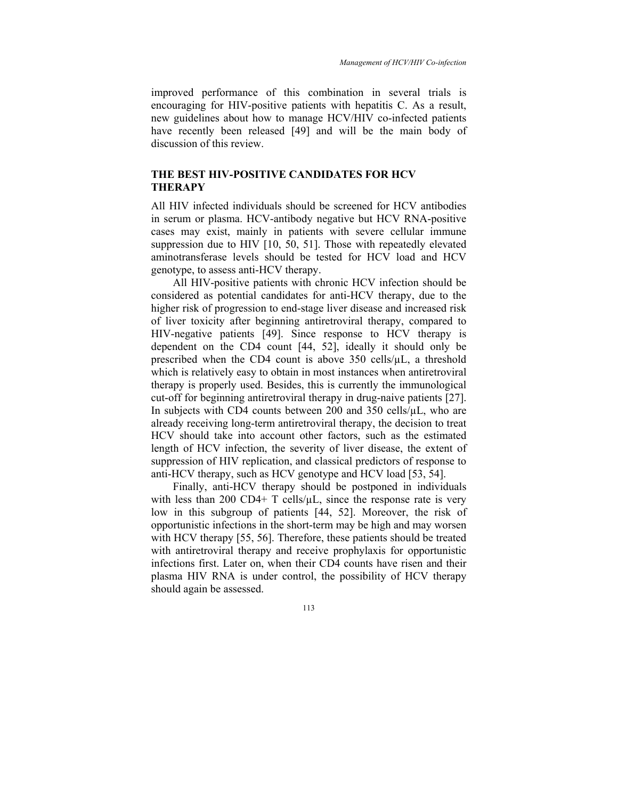*Management of HCV/HIV Co-infection* 

improved performance of this combination in several trials is encouraging for HIV-positive patients with hepatitis C. As a result, new guidelines about how to manage HCV/HIV co-infected patients have recently been released [49] and will be the main body of discussion of this review.

## **THE BEST HIV-POSITIVE CANDIDATES FOR HCV THERAPY**

All HIV infected individuals should be screened for HCV antibodies in serum or plasma. HCV-antibody negative but HCV RNA-positive cases may exist, mainly in patients with severe cellular immune suppression due to HIV [10, 50, 51]. Those with repeatedly elevated aminotransferase levels should be tested for HCV load and HCV genotype, to assess anti-HCV therapy.

All HIV-positive patients with chronic HCV infection should be considered as potential candidates for anti-HCV therapy, due to the higher risk of progression to end-stage liver disease and increased risk of liver toxicity after beginning antiretroviral therapy, compared to HIV-negative patients [49]. Since response to HCV therapy is dependent on the CD4 count [44, 52], ideally it should only be prescribed when the CD4 count is above  $350$  cells/ $\mu$ L, a threshold which is relatively easy to obtain in most instances when antiretroviral therapy is properly used. Besides, this is currently the immunological cut-off for beginning antiretroviral therapy in drug-naive patients [27]. In subjects with CD4 counts between 200 and 350 cells/ $\mu$ L, who are already receiving long-term antiretroviral therapy, the decision to treat HCV should take into account other factors, such as the estimated length of HCV infection, the severity of liver disease, the extent of suppression of HIV replication, and classical predictors of response to anti-HCV therapy, such as HCV genotype and HCV load [53, 54].

Finally, anti-HCV therapy should be postponed in individuals with less than 200 CD4+ T cells/ $\mu$ L, since the response rate is very low in this subgroup of patients [44, 52]. Moreover, the risk of opportunistic infections in the short-term may be high and may worsen with HCV therapy [55, 56]. Therefore, these patients should be treated with antiretroviral therapy and receive prophylaxis for opportunistic infections first. Later on, when their CD4 counts have risen and their plasma HIV RNA is under control, the possibility of HCV therapy should again be assessed.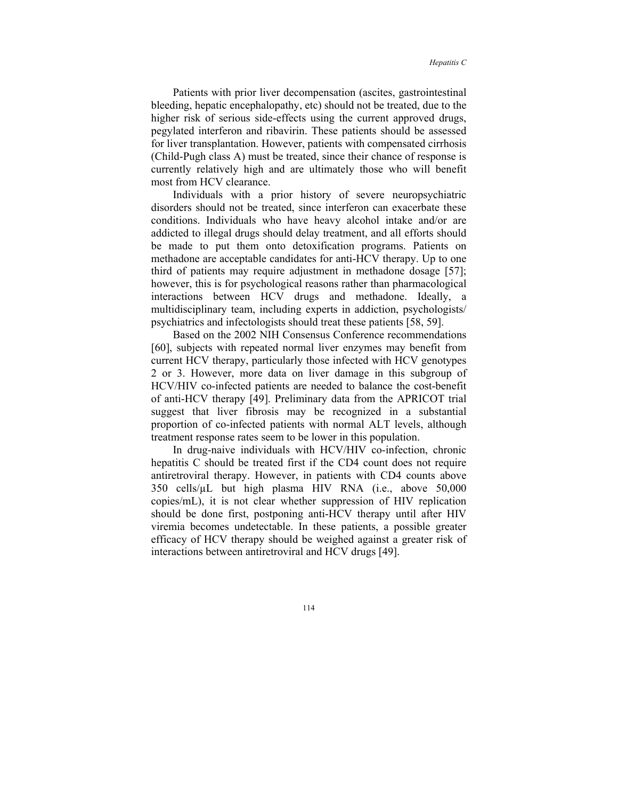Patients with prior liver decompensation (ascites, gastrointestinal bleeding, hepatic encephalopathy, etc) should not be treated, due to the higher risk of serious side-effects using the current approved drugs, pegylated interferon and ribavirin. These patients should be assessed for liver transplantation. However, patients with compensated cirrhosis (Child-Pugh class A) must be treated, since their chance of response is currently relatively high and are ultimately those who will benefit most from HCV clearance.

Individuals with a prior history of severe neuropsychiatric disorders should not be treated, since interferon can exacerbate these conditions. Individuals who have heavy alcohol intake and/or are addicted to illegal drugs should delay treatment, and all efforts should be made to put them onto detoxification programs. Patients on methadone are acceptable candidates for anti-HCV therapy. Up to one third of patients may require adjustment in methadone dosage [57]; however, this is for psychological reasons rather than pharmacological interactions between HCV drugs and methadone. Ideally, a multidisciplinary team, including experts in addiction, psychologists/ psychiatrics and infectologists should treat these patients [58, 59].

Based on the 2002 NIH Consensus Conference recommendations [60], subjects with repeated normal liver enzymes may benefit from current HCV therapy, particularly those infected with HCV genotypes 2 or 3. However, more data on liver damage in this subgroup of HCV/HIV co-infected patients are needed to balance the cost-benefit of anti-HCV therapy [49]. Preliminary data from the APRICOT trial suggest that liver fibrosis may be recognized in a substantial proportion of co-infected patients with normal ALT levels, although treatment response rates seem to be lower in this population.

In drug-naive individuals with HCV/HIV co-infection, chronic hepatitis C should be treated first if the CD4 count does not require antiretroviral therapy. However, in patients with CD4 counts above 350 cells/µL but high plasma HIV RNA (i.e., above 50,000 copies/mL), it is not clear whether suppression of HIV replication should be done first, postponing anti-HCV therapy until after HIV viremia becomes undetectable. In these patients, a possible greater efficacy of HCV therapy should be weighed against a greater risk of interactions between antiretroviral and HCV drugs [49].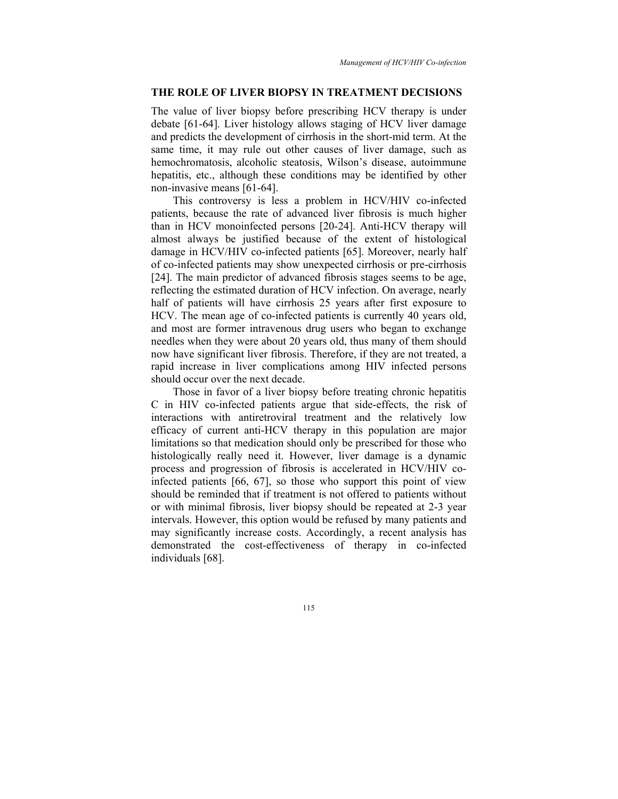## **THE ROLE OF LIVER BIOPSY IN TREATMENT DECISIONS**

The value of liver biopsy before prescribing HCV therapy is under debate [61-64]. Liver histology allows staging of HCV liver damage and predicts the development of cirrhosis in the short-mid term. At the same time, it may rule out other causes of liver damage, such as hemochromatosis, alcoholic steatosis, Wilson's disease, autoimmune hepatitis, etc., although these conditions may be identified by other non-invasive means [61-64].

This controversy is less a problem in HCV/HIV co-infected patients, because the rate of advanced liver fibrosis is much higher than in HCV monoinfected persons [20-24]. Anti-HCV therapy will almost always be justified because of the extent of histological damage in HCV/HIV co-infected patients [65]. Moreover, nearly half of co-infected patients may show unexpected cirrhosis or pre-cirrhosis [24]. The main predictor of advanced fibrosis stages seems to be age, reflecting the estimated duration of HCV infection. On average, nearly half of patients will have cirrhosis 25 years after first exposure to HCV. The mean age of co-infected patients is currently 40 years old, and most are former intravenous drug users who began to exchange needles when they were about 20 years old, thus many of them should now have significant liver fibrosis. Therefore, if they are not treated, a rapid increase in liver complications among HIV infected persons should occur over the next decade.

Those in favor of a liver biopsy before treating chronic hepatitis C in HIV co-infected patients argue that side-effects, the risk of interactions with antiretroviral treatment and the relatively low efficacy of current anti-HCV therapy in this population are major limitations so that medication should only be prescribed for those who histologically really need it. However, liver damage is a dynamic process and progression of fibrosis is accelerated in HCV/HIV coinfected patients [66, 67], so those who support this point of view should be reminded that if treatment is not offered to patients without or with minimal fibrosis, liver biopsy should be repeated at 2-3 year intervals. However, this option would be refused by many patients and may significantly increase costs. Accordingly, a recent analysis has demonstrated the cost-effectiveness of therapy in co-infected individuals [68].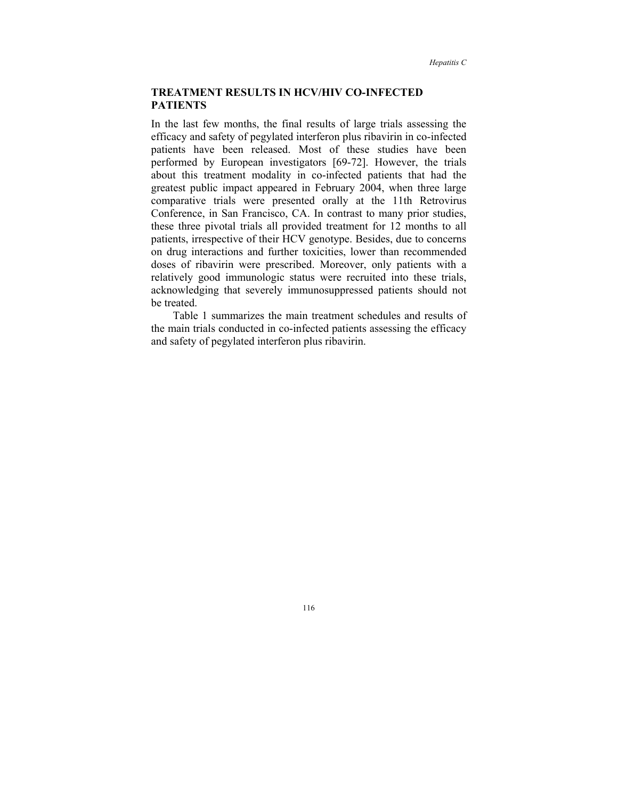## **TREATMENT RESULTS IN HCV/HIV CO-INFECTED PATIENTS**

In the last few months, the final results of large trials assessing the efficacy and safety of pegylated interferon plus ribavirin in co-infected patients have been released. Most of these studies have been performed by European investigators [69-72]. However, the trials about this treatment modality in co-infected patients that had the greatest public impact appeared in February 2004, when three large comparative trials were presented orally at the 11th Retrovirus Conference, in San Francisco, CA. In contrast to many prior studies, these three pivotal trials all provided treatment for 12 months to all patients, irrespective of their HCV genotype. Besides, due to concerns on drug interactions and further toxicities, lower than recommended doses of ribavirin were prescribed. Moreover, only patients with a relatively good immunologic status were recruited into these trials, acknowledging that severely immunosuppressed patients should not be treated.

Table 1 summarizes the main treatment schedules and results of the main trials conducted in co-infected patients assessing the efficacy and safety of pegylated interferon plus ribavirin.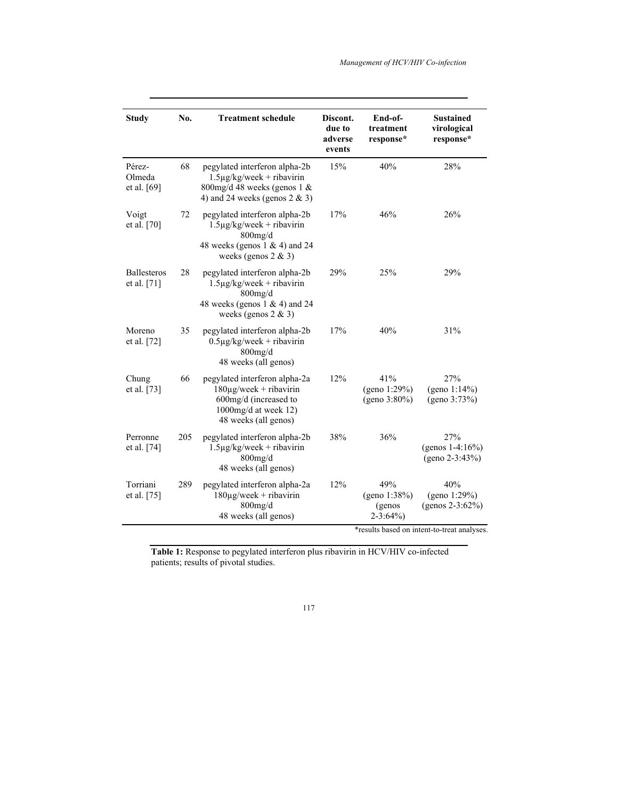| <b>Study</b>                      | No. | <b>Treatment schedule</b>                                                                                                                     | Discont.<br>due to<br>adverse<br>events | End-of-<br>treatment<br>response*              | <b>Sustained</b><br>virological<br>response*                                              |
|-----------------------------------|-----|-----------------------------------------------------------------------------------------------------------------------------------------------|-----------------------------------------|------------------------------------------------|-------------------------------------------------------------------------------------------|
| Pérez-<br>Olmeda<br>et al. [69]   | 68  | pegylated interferon alpha-2b<br>$1.5\mu$ g/kg/week + ribavirin<br>800mg/d 48 weeks (genos $1 \&$<br>4) and 24 weeks (genos $2 \& 3$ )        | 15%                                     | 40%                                            | 28%                                                                                       |
| Voigt<br>et al. [70]              | 72  | pegylated interferon alpha-2b<br>$1.5\mu$ g/kg/week + ribavirin<br>$800$ mg/d<br>48 weeks (genos $1 \& 4$ ) and 24<br>weeks (genos $2 \& 3$ ) | 17%                                     | 46%                                            | 26%                                                                                       |
| <b>Ballesteros</b><br>et al. [71] | 28  | pegylated interferon alpha-2b<br>$1.5\mu$ g/kg/week + ribavirin<br>$800$ mg/d<br>48 weeks (genos $1 \& 4$ ) and 24<br>weeks (genos $2 \& 3$ ) | 29%                                     | 25%                                            | 29%                                                                                       |
| Moreno<br>et al. [72]             | 35  | pegylated interferon alpha-2b<br>$0.5\mu$ g/kg/week + ribavirin<br>$800$ mg/d<br>48 weeks (all genos)                                         | 17%                                     | 40%                                            | 31%                                                                                       |
| Chung<br>et al. $[73]$            | 66  | pegylated interferon alpha-2a<br>$180\mu$ g/week + ribavirin<br>600mg/d (increased to<br>1000mg/d at week $12$ )<br>48 weeks (all genos)      | 12%                                     | 41%<br>(geno 1:29%)<br>(geno $3:80\%$ )        | 27%<br>(geno 1:14%)<br>(geno 3:73%)                                                       |
| Perronne<br>et al. $[74]$         | 205 | pegylated interferon alpha-2b<br>$1.5\mu$ g/kg/week + ribavirin<br>$800$ mg/d<br>48 weeks (all genos)                                         | 38%                                     | 36%                                            | 27%<br>(genos $1-4:16\%$ )<br>$(geno 2-3:43%)$                                            |
| Torriani<br>et al. $[75]$         | 289 | pegylated interferon alpha-2a<br>$180\mu$ g/week + ribavirin<br>$800$ mg/d<br>48 weeks (all genos)                                            | 12%                                     | 49%<br>(geno 1:38%)<br>(genos<br>$2 - 3:64\%)$ | 40%<br>(geno 1:29%)<br>(genos $2-3:62\%$ )<br>*results based on intent-to-treat analyses. |

**Table 1:** Response to pegylated interferon plus ribavirin in HCV/HIV co-infected patients; results of pivotal studies.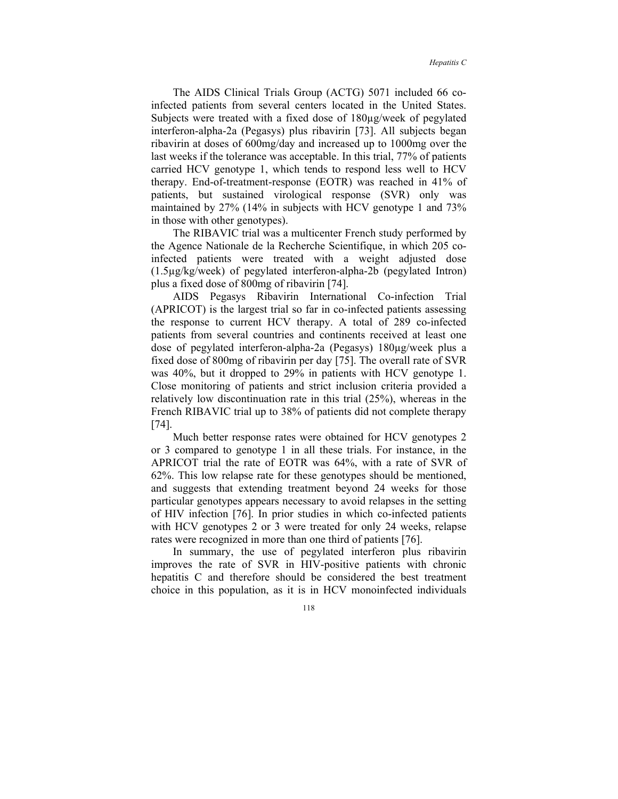The AIDS Clinical Trials Group (ACTG) 5071 included 66 coinfected patients from several centers located in the United States. Subjects were treated with a fixed dose of 180µg/week of pegylated interferon-alpha-2a (Pegasys) plus ribavirin [73]. All subjects began ribavirin at doses of 600mg/day and increased up to 1000mg over the last weeks if the tolerance was acceptable. In this trial, 77% of patients carried HCV genotype 1, which tends to respond less well to HCV therapy. End-of-treatment-response (EOTR) was reached in 41% of patients, but sustained virological response (SVR) only was maintained by 27% (14% in subjects with HCV genotype 1 and 73% in those with other genotypes).

The RIBAVIC trial was a multicenter French study performed by the Agence Nationale de la Recherche Scientifique, in which 205 coinfected patients were treated with a weight adjusted dose (1.5µg/kg/week) of pegylated interferon-alpha-2b (pegylated Intron) plus a fixed dose of 800mg of ribavirin [74].

AIDS Pegasys Ribavirin International Co-infection Trial (APRICOT) is the largest trial so far in co-infected patients assessing the response to current HCV therapy. A total of 289 co-infected patients from several countries and continents received at least one dose of pegylated interferon-alpha-2a (Pegasys) 180µg/week plus a fixed dose of 800mg of ribavirin per day [75]. The overall rate of SVR was 40%, but it dropped to 29% in patients with HCV genotype 1. Close monitoring of patients and strict inclusion criteria provided a relatively low discontinuation rate in this trial (25%), whereas in the French RIBAVIC trial up to 38% of patients did not complete therapy [74].

Much better response rates were obtained for HCV genotypes 2 or 3 compared to genotype 1 in all these trials. For instance, in the APRICOT trial the rate of EOTR was 64%, with a rate of SVR of 62%. This low relapse rate for these genotypes should be mentioned, and suggests that extending treatment beyond 24 weeks for those particular genotypes appears necessary to avoid relapses in the setting of HIV infection [76]. In prior studies in which co-infected patients with HCV genotypes 2 or 3 were treated for only 24 weeks, relapse rates were recognized in more than one third of patients [76].

In summary, the use of pegylated interferon plus ribavirin improves the rate of SVR in HIV-positive patients with chronic hepatitis C and therefore should be considered the best treatment choice in this population, as it is in HCV monoinfected individuals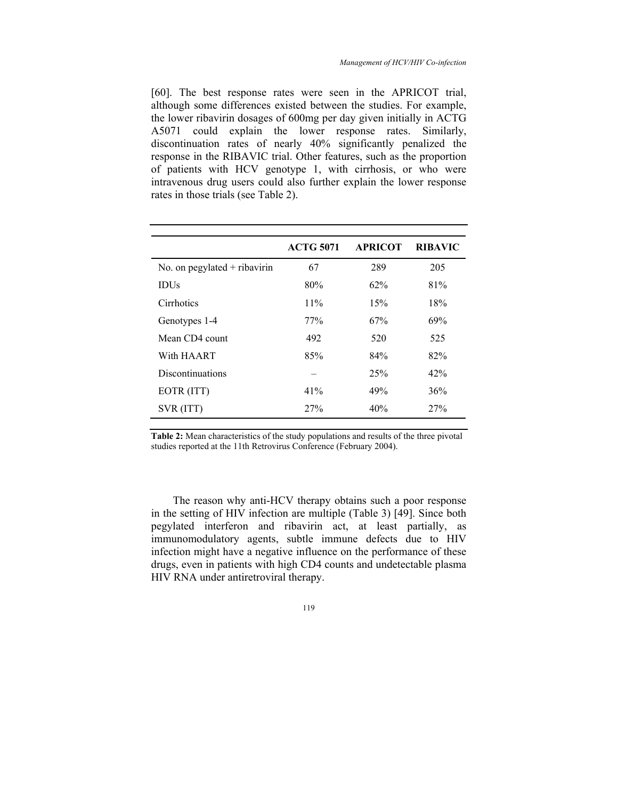[60]. The best response rates were seen in the APRICOT trial, although some differences existed between the studies. For example, the lower ribavirin dosages of 600mg per day given initially in ACTG A5071 could explain the lower response rates. Similarly, discontinuation rates of nearly 40% significantly penalized the response in the RIBAVIC trial. Other features, such as the proportion of patients with HCV genotype 1, with cirrhosis, or who were intravenous drug users could also further explain the lower response rates in those trials (see Table 2).

|                                | <b>ACTG 5071</b> | <b>APRICOT</b> | <b>RIBAVIC</b> |
|--------------------------------|------------------|----------------|----------------|
| No. on pegylated $+$ ribavirin | 67               | 289            | 205            |
| <b>IDUs</b>                    | 80%              | 62%            | 81%            |
| Cirrhotics                     | 11%              | 15%            | 18%            |
| Genotypes 1-4                  | 77%              | 67%            | 69%            |
| Mean CD4 count                 | 492              | 520            | 525            |
| With HAART                     | 85%              | 84%            | 82%            |
| <b>Discontinuations</b>        |                  | 25%            | 42%            |
| EOTR (ITT)                     | 41%              | 49%            | 36%            |
| SVR (ITT)                      | 27%              | 40%            | 27%            |
|                                |                  |                |                |

**Table 2:** Mean characteristics of the study populations and results of the three pivotal studies reported at the 11th Retrovirus Conference (February 2004).

The reason why anti-HCV therapy obtains such a poor response in the setting of HIV infection are multiple (Table 3) [49]. Since both pegylated interferon and ribavirin act, at least partially, as immunomodulatory agents, subtle immune defects due to HIV infection might have a negative influence on the performance of these drugs, even in patients with high CD4 counts and undetectable plasma HIV RNA under antiretroviral therapy.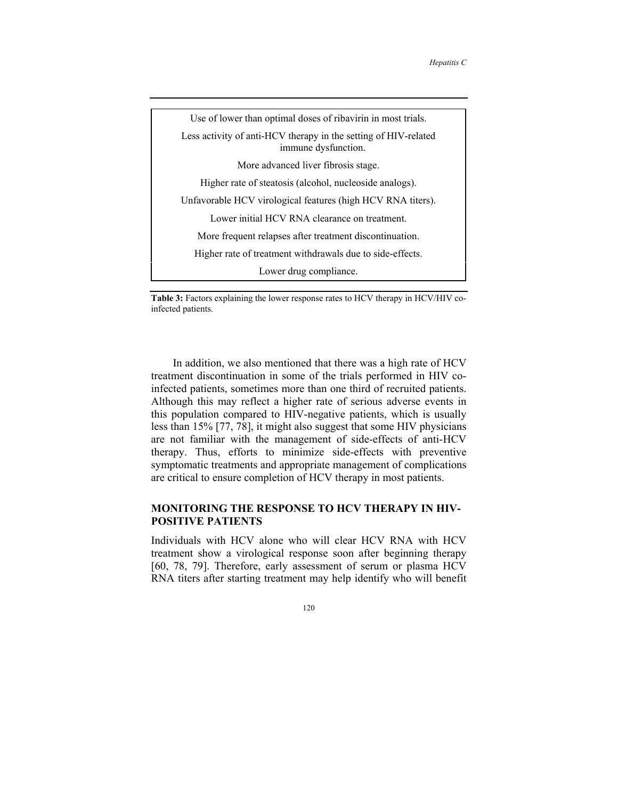

**Table 3:** Factors explaining the lower response rates to HCV therapy in HCV/HIV coinfected patients.

In addition, we also mentioned that there was a high rate of HCV treatment discontinuation in some of the trials performed in HIV coinfected patients, sometimes more than one third of recruited patients. Although this may reflect a higher rate of serious adverse events in this population compared to HIV-negative patients, which is usually less than 15% [77, 78], it might also suggest that some HIV physicians are not familiar with the management of side-effects of anti-HCV therapy. Thus, efforts to minimize side-effects with preventive symptomatic treatments and appropriate management of complications are critical to ensure completion of HCV therapy in most patients.

## **MONITORING THE RESPONSE TO HCV THERAPY IN HIV-POSITIVE PATIENTS**

Individuals with HCV alone who will clear HCV RNA with HCV treatment show a virological response soon after beginning therapy [60, 78, 79]. Therefore, early assessment of serum or plasma HCV RNA titers after starting treatment may help identify who will benefit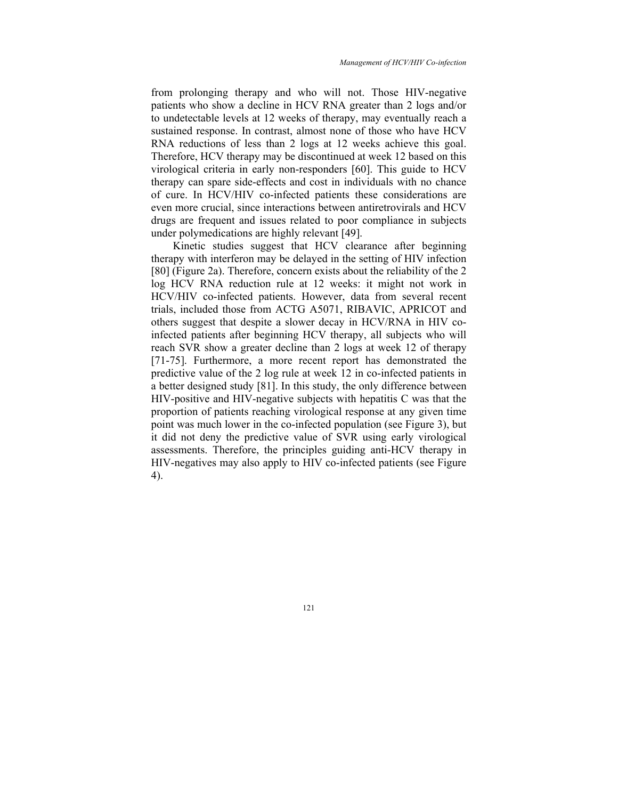from prolonging therapy and who will not. Those HIV-negative patients who show a decline in HCV RNA greater than 2 logs and/or to undetectable levels at 12 weeks of therapy, may eventually reach a sustained response. In contrast, almost none of those who have HCV RNA reductions of less than 2 logs at 12 weeks achieve this goal. Therefore, HCV therapy may be discontinued at week 12 based on this virological criteria in early non-responders [60]. This guide to HCV therapy can spare side-effects and cost in individuals with no chance of cure. In HCV/HIV co-infected patients these considerations are even more crucial, since interactions between antiretrovirals and HCV drugs are frequent and issues related to poor compliance in subjects under polymedications are highly relevant [49].

Kinetic studies suggest that HCV clearance after beginning therapy with interferon may be delayed in the setting of HIV infection [80] (Figure 2a). Therefore, concern exists about the reliability of the 2 log HCV RNA reduction rule at 12 weeks: it might not work in HCV/HIV co-infected patients. However, data from several recent trials, included those from ACTG A5071, RIBAVIC, APRICOT and others suggest that despite a slower decay in HCV/RNA in HIV coinfected patients after beginning HCV therapy, all subjects who will reach SVR show a greater decline than 2 logs at week 12 of therapy [71-75]. Furthermore, a more recent report has demonstrated the predictive value of the 2 log rule at week 12 in co-infected patients in a better designed study [81]. In this study, the only difference between HIV-positive and HIV-negative subjects with hepatitis C was that the proportion of patients reaching virological response at any given time point was much lower in the co-infected population (see Figure 3), but it did not deny the predictive value of SVR using early virological assessments. Therefore, the principles guiding anti-HCV therapy in HIV-negatives may also apply to HIV co-infected patients (see Figure 4).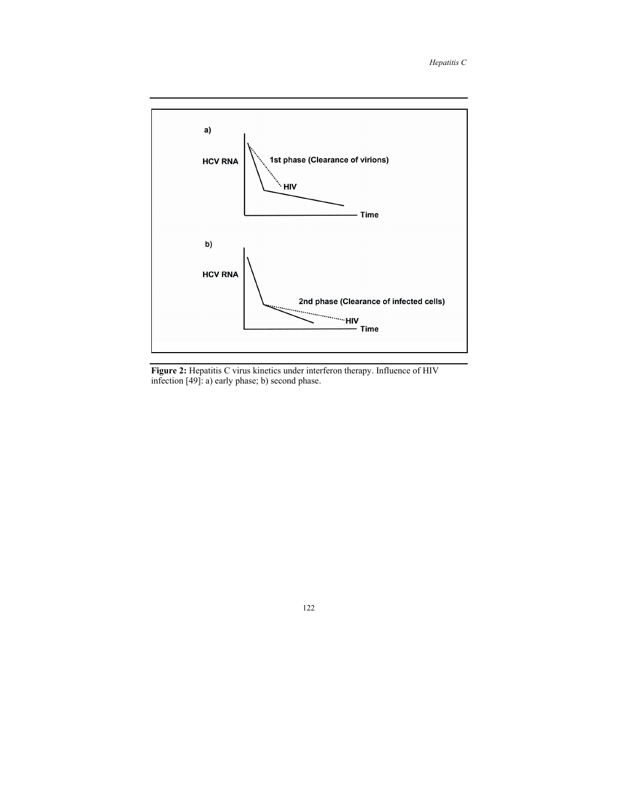

**Figure 2:** Hepatitis C virus kinetics under interferon therapy. Influence of HIV infection [49]: a) early phase; b) second phase.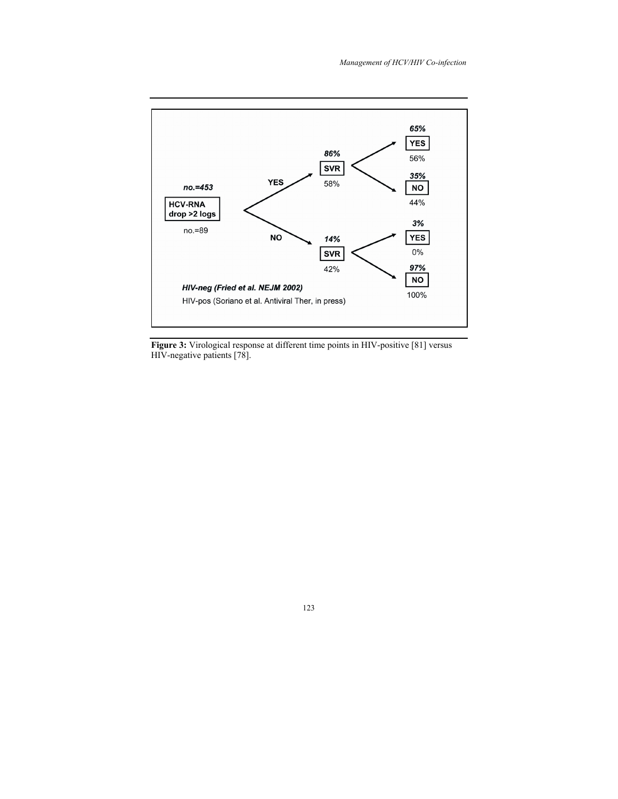

**Figure 3:** Virological response at different time points in HIV-positive [81] versus HIV-negative patients [78].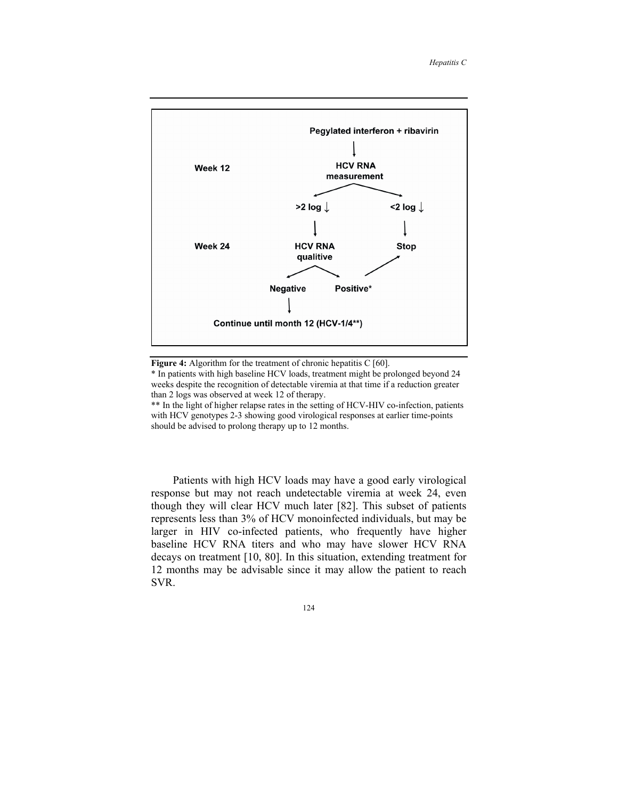

Figure 4: Algorithm for the treatment of chronic hepatitis C [60].

\* In patients with high baseline HCV loads, treatment might be prolonged beyond 24 weeks despite the recognition of detectable viremia at that time if a reduction greater than 2 logs was observed at week 12 of therapy.

\*\* In the light of higher relapse rates in the setting of HCV-HIV co-infection, patients with HCV genotypes 2-3 showing good virological responses at earlier time-points should be advised to prolong therapy up to 12 months.

Patients with high HCV loads may have a good early virological response but may not reach undetectable viremia at week 24, even though they will clear HCV much later [82]. This subset of patients represents less than 3% of HCV monoinfected individuals, but may be larger in HIV co-infected patients, who frequently have higher baseline HCV RNA titers and who may have slower HCV RNA decays on treatment [10, 80]. In this situation, extending treatment for 12 months may be advisable since it may allow the patient to reach SVR.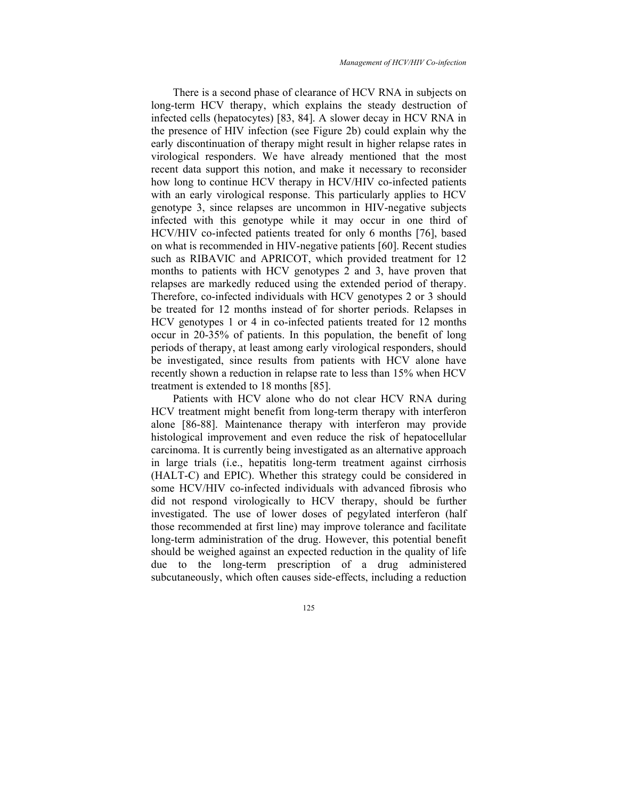*Management of HCV/HIV Co-infection* 

There is a second phase of clearance of HCV RNA in subjects on long-term HCV therapy, which explains the steady destruction of infected cells (hepatocytes) [83, 84]. A slower decay in HCV RNA in the presence of HIV infection (see Figure 2b) could explain why the early discontinuation of therapy might result in higher relapse rates in virological responders. We have already mentioned that the most recent data support this notion, and make it necessary to reconsider how long to continue HCV therapy in HCV/HIV co-infected patients with an early virological response. This particularly applies to HCV genotype 3, since relapses are uncommon in HIV-negative subjects infected with this genotype while it may occur in one third of HCV/HIV co-infected patients treated for only 6 months [76], based on what is recommended in HIV-negative patients [60]. Recent studies such as RIBAVIC and APRICOT, which provided treatment for 12 months to patients with HCV genotypes 2 and 3, have proven that relapses are markedly reduced using the extended period of therapy. Therefore, co-infected individuals with HCV genotypes 2 or 3 should be treated for 12 months instead of for shorter periods. Relapses in HCV genotypes 1 or 4 in co-infected patients treated for 12 months occur in 20-35% of patients. In this population, the benefit of long periods of therapy, at least among early virological responders, should be investigated, since results from patients with HCV alone have recently shown a reduction in relapse rate to less than 15% when HCV treatment is extended to 18 months [85].

Patients with HCV alone who do not clear HCV RNA during HCV treatment might benefit from long-term therapy with interferon alone [86-88]. Maintenance therapy with interferon may provide histological improvement and even reduce the risk of hepatocellular carcinoma. It is currently being investigated as an alternative approach in large trials (i.e., hepatitis long-term treatment against cirrhosis (HALT-C) and EPIC). Whether this strategy could be considered in some HCV/HIV co-infected individuals with advanced fibrosis who did not respond virologically to HCV therapy, should be further investigated. The use of lower doses of pegylated interferon (half those recommended at first line) may improve tolerance and facilitate long-term administration of the drug. However, this potential benefit should be weighed against an expected reduction in the quality of life due to the long-term prescription of a drug administered subcutaneously, which often causes side-effects, including a reduction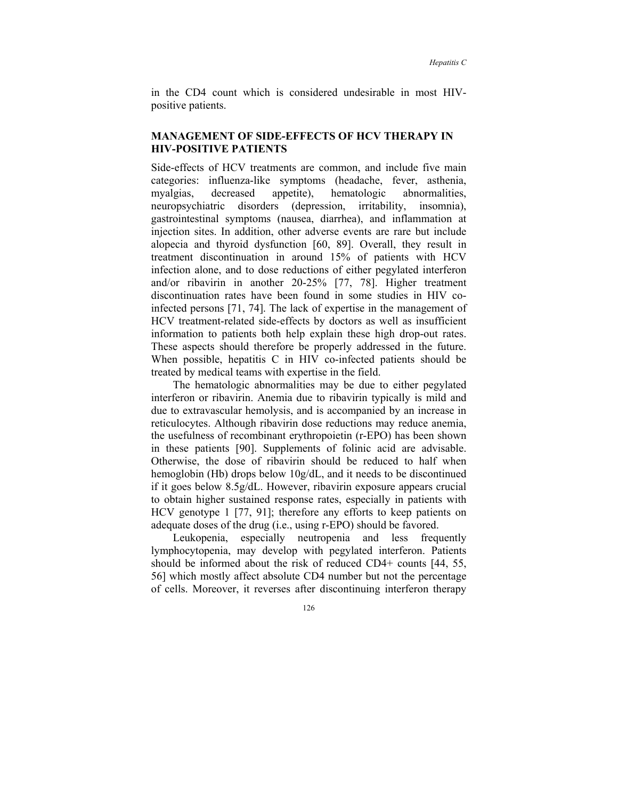in the CD4 count which is considered undesirable in most HIVpositive patients.

## **MANAGEMENT OF SIDE-EFFECTS OF HCV THERAPY IN HIV-POSITIVE PATIENTS**

Side-effects of HCV treatments are common, and include five main categories: influenza-like symptoms (headache, fever, asthenia, myalgias, decreased appetite), hematologic abnormalities, neuropsychiatric disorders (depression, irritability, insomnia), gastrointestinal symptoms (nausea, diarrhea), and inflammation at injection sites. In addition, other adverse events are rare but include alopecia and thyroid dysfunction [60, 89]. Overall, they result in treatment discontinuation in around 15% of patients with HCV infection alone, and to dose reductions of either pegylated interferon and/or ribavirin in another 20-25% [77, 78]. Higher treatment discontinuation rates have been found in some studies in HIV coinfected persons [71, 74]. The lack of expertise in the management of HCV treatment-related side-effects by doctors as well as insufficient information to patients both help explain these high drop-out rates. These aspects should therefore be properly addressed in the future. When possible, hepatitis C in HIV co-infected patients should be treated by medical teams with expertise in the field.

The hematologic abnormalities may be due to either pegylated interferon or ribavirin. Anemia due to ribavirin typically is mild and due to extravascular hemolysis, and is accompanied by an increase in reticulocytes. Although ribavirin dose reductions may reduce anemia, the usefulness of recombinant erythropoietin (r-EPO) has been shown in these patients [90]. Supplements of folinic acid are advisable. Otherwise, the dose of ribavirin should be reduced to half when hemoglobin (Hb) drops below 10g/dL, and it needs to be discontinued if it goes below 8.5g/dL. However, ribavirin exposure appears crucial to obtain higher sustained response rates, especially in patients with HCV genotype 1 [77, 91]; therefore any efforts to keep patients on adequate doses of the drug (i.e., using r-EPO) should be favored.

Leukopenia, especially neutropenia and less frequently lymphocytopenia, may develop with pegylated interferon. Patients should be informed about the risk of reduced CD4+ counts [44, 55, 56] which mostly affect absolute CD4 number but not the percentage of cells. Moreover, it reverses after discontinuing interferon therapy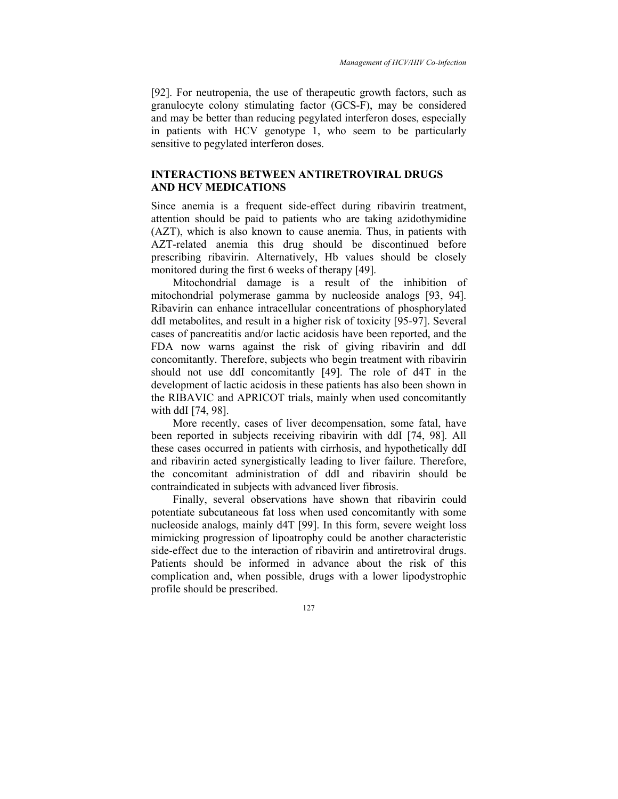[92]. For neutropenia, the use of therapeutic growth factors, such as granulocyte colony stimulating factor (GCS-F), may be considered and may be better than reducing pegylated interferon doses, especially in patients with HCV genotype 1, who seem to be particularly sensitive to pegylated interferon doses.

## **INTERACTIONS BETWEEN ANTIRETROVIRAL DRUGS AND HCV MEDICATIONS**

Since anemia is a frequent side-effect during ribavirin treatment, attention should be paid to patients who are taking azidothymidine (AZT), which is also known to cause anemia. Thus, in patients with AZT-related anemia this drug should be discontinued before prescribing ribavirin. Alternatively, Hb values should be closely monitored during the first 6 weeks of therapy [49].

Mitochondrial damage is a result of the inhibition of mitochondrial polymerase gamma by nucleoside analogs [93, 94]. Ribavirin can enhance intracellular concentrations of phosphorylated ddI metabolites, and result in a higher risk of toxicity [95-97]. Several cases of pancreatitis and/or lactic acidosis have been reported, and the FDA now warns against the risk of giving ribavirin and ddI concomitantly. Therefore, subjects who begin treatment with ribavirin should not use ddI concomitantly [49]. The role of d4T in the development of lactic acidosis in these patients has also been shown in the RIBAVIC and APRICOT trials, mainly when used concomitantly with ddI [74, 98].

More recently, cases of liver decompensation, some fatal, have been reported in subjects receiving ribavirin with ddI [74, 98]. All these cases occurred in patients with cirrhosis, and hypothetically ddI and ribavirin acted synergistically leading to liver failure. Therefore, the concomitant administration of ddI and ribavirin should be contraindicated in subjects with advanced liver fibrosis.

Finally, several observations have shown that ribavirin could potentiate subcutaneous fat loss when used concomitantly with some nucleoside analogs, mainly d4T [99]. In this form, severe weight loss mimicking progression of lipoatrophy could be another characteristic side-effect due to the interaction of ribavirin and antiretroviral drugs. Patients should be informed in advance about the risk of this complication and, when possible, drugs with a lower lipodystrophic profile should be prescribed.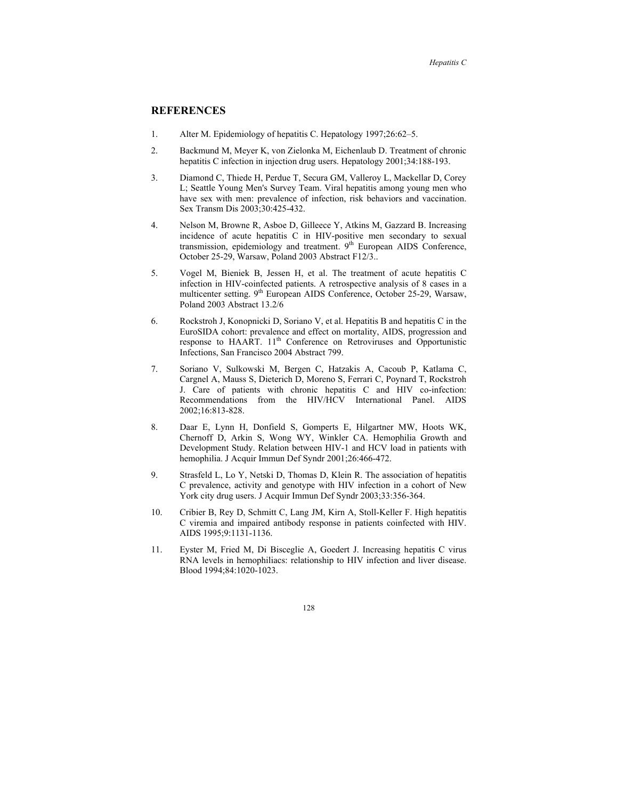## **REFERENCES**

- 1. Alter M. Epidemiology of hepatitis C. Hepatology 1997;26:62–5.
- 2. Backmund M, Meyer K, von Zielonka M, Eichenlaub D. Treatment of chronic hepatitis C infection in injection drug users. Hepatology 2001;34:188-193.
- 3. Diamond C, Thiede H, Perdue T, Secura GM, Valleroy L, Mackellar D, Corey L; Seattle Young Men's Survey Team. Viral hepatitis among young men who have sex with men: prevalence of infection, risk behaviors and vaccination. Sex Transm Dis 2003;30:425-432.
- 4. Nelson M, Browne R, Asboe D, Gilleece Y, Atkins M, Gazzard B. Increasing incidence of acute hepatitis C in HIV-positive men secondary to sexual transmission, epidemiology and treatment.  $9<sup>th</sup>$  European AIDS Conference, October 25-29, Warsaw, Poland 2003 Abstract F12/3..
- 5. Vogel M, Bieniek B, Jessen H, et al. The treatment of acute hepatitis C infection in HIV-coinfected patients. A retrospective analysis of 8 cases in a multicenter setting. 9<sup>th</sup> European AIDS Conference, October 25-29, Warsaw, Poland 2003 Abstract 13.2/6
- 6. Rockstroh J, Konopnicki D, Soriano V, et al. Hepatitis B and hepatitis C in the EuroSIDA cohort: prevalence and effect on mortality, AIDS, progression and response to HAART. 11<sup>th</sup> Conference on Retroviruses and Opportunistic Infections, San Francisco 2004 Abstract 799.
- 7. Soriano V, Sulkowski M, Bergen C, Hatzakis A, Cacoub P, Katlama C, Cargnel A, Mauss S, Dieterich D, Moreno S, Ferrari C, Poynard T, Rockstroh J. Care of patients with chronic hepatitis C and HIV co-infection: Recommendations from the HIV/HCV International Panel. AIDS 2002;16:813-828.
- 8. Daar E, Lynn H, Donfield S, Gomperts E, Hilgartner MW, Hoots WK, Chernoff D, Arkin S, Wong WY, Winkler CA. Hemophilia Growth and Development Study. Relation between HIV-1 and HCV load in patients with hemophilia. J Acquir Immun Def Syndr 2001;26:466-472.
- 9. Strasfeld L, Lo Y, Netski D, Thomas D, Klein R. The association of hepatitis C prevalence, activity and genotype with HIV infection in a cohort of New York city drug users. J Acquir Immun Def Syndr 2003;33:356-364.
- 10. Cribier B, Rey D, Schmitt C, Lang JM, Kirn A, Stoll-Keller F. High hepatitis C viremia and impaired antibody response in patients coinfected with HIV. AIDS 1995;9:1131-1136.
- 11. Eyster M, Fried M, Di Bisceglie A, Goedert J. Increasing hepatitis C virus RNA levels in hemophiliacs: relationship to HIV infection and liver disease. Blood 1994;84:1020-1023.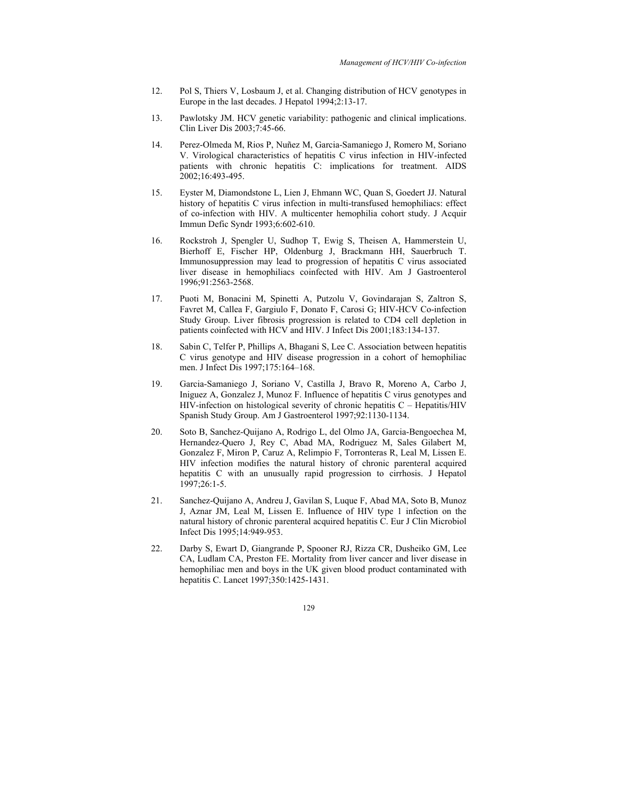- 12. Pol S, Thiers V, Losbaum J, et al. Changing distribution of HCV genotypes in Europe in the last decades. J Hepatol 1994;2:13-17.
- 13. Pawlotsky JM. HCV genetic variability: pathogenic and clinical implications. Clin Liver Dis 2003;7:45-66.
- 14. Perez-Olmeda M, Rios P, Nuñez M, Garcia-Samaniego J, Romero M, Soriano V. Virological characteristics of hepatitis C virus infection in HIV-infected patients with chronic hepatitis C: implications for treatment. AIDS 2002;16:493-495.
- 15. Eyster M, Diamondstone L, Lien J, Ehmann WC, Quan S, Goedert JJ. Natural history of hepatitis C virus infection in multi-transfused hemophiliacs: effect of co-infection with HIV. A multicenter hemophilia cohort study. J Acquir Immun Defic Syndr 1993;6:602-610.
- 16. Rockstroh J, Spengler U, Sudhop T, Ewig S, Theisen A, Hammerstein U, Bierhoff E, Fischer HP, Oldenburg J, Brackmann HH, Sauerbruch T. Immunosuppression may lead to progression of hepatitis C virus associated liver disease in hemophiliacs coinfected with HIV. Am J Gastroenterol 1996;91:2563-2568.
- 17. Puoti M, Bonacini M, Spinetti A, Putzolu V, Govindarajan S, Zaltron S, Favret M, Callea F, Gargiulo F, Donato F, Carosi G; HIV-HCV Co-infection Study Group. Liver fibrosis progression is related to CD4 cell depletion in patients coinfected with HCV and HIV. J Infect Dis 2001;183:134-137.
- 18. Sabin C, Telfer P, Phillips A, Bhagani S, Lee C. Association between hepatitis C virus genotype and HIV disease progression in a cohort of hemophiliac men. J Infect Dis 1997;175:164–168.
- 19. Garcia-Samaniego J, Soriano V, Castilla J, Bravo R, Moreno A, Carbo J, Iniguez A, Gonzalez J, Munoz F. Influence of hepatitis C virus genotypes and HIV-infection on histological severity of chronic hepatitis C – Hepatitis/HIV Spanish Study Group. Am J Gastroenterol 1997;92:1130-1134.
- 20. Soto B, Sanchez-Quijano A, Rodrigo L, del Olmo JA, Garcia-Bengoechea M, Hernandez-Quero J, Rey C, Abad MA, Rodriguez M, Sales Gilabert M, Gonzalez F, Miron P, Caruz A, Relimpio F, Torronteras R, Leal M, Lissen E. HIV infection modifies the natural history of chronic parenteral acquired hepatitis C with an unusually rapid progression to cirrhosis. J Hepatol 1997;26:1-5.
- 21. Sanchez-Quijano A, Andreu J, Gavilan S, Luque F, Abad MA, Soto B, Munoz J, Aznar JM, Leal M, Lissen E. Influence of HIV type 1 infection on the natural history of chronic parenteral acquired hepatitis C. Eur J Clin Microbiol Infect Dis 1995;14:949-953.
- 22. Darby S, Ewart D, Giangrande P, Spooner RJ, Rizza CR, Dusheiko GM, Lee CA, Ludlam CA, Preston FE. Mortality from liver cancer and liver disease in hemophiliac men and boys in the UK given blood product contaminated with hepatitis C. Lancet 1997;350:1425-1431.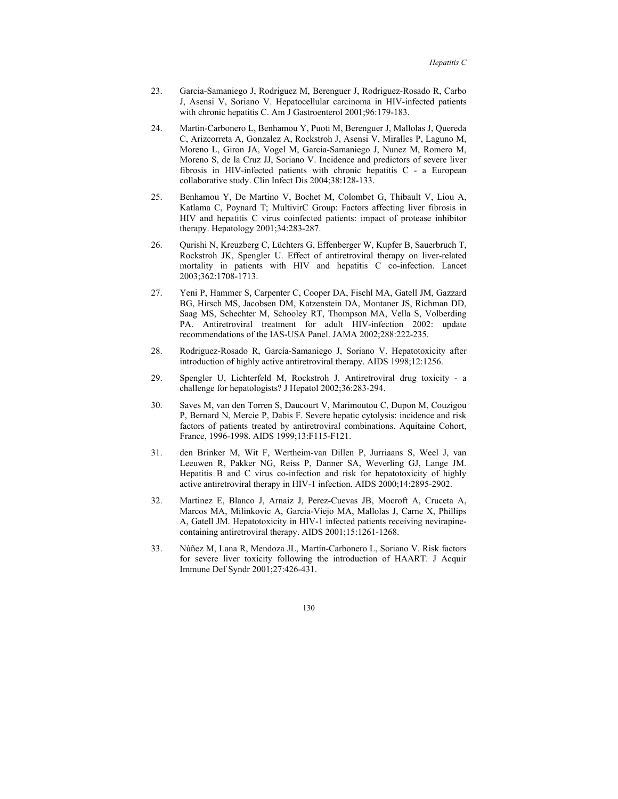- 23. Garcia-Samaniego J, Rodriguez M, Berenguer J, Rodriguez-Rosado R, Carbo J, Asensi V, Soriano V. Hepatocellular carcinoma in HIV-infected patients with chronic hepatitis C. Am J Gastroenterol 2001;96:179-183.
- 24. Martin-Carbonero L, Benhamou Y, Puoti M, Berenguer J, Mallolas J, Quereda C, Arizcorreta A, Gonzalez A, Rockstroh J, Asensi V, Miralles P, Laguno M, Moreno L, Giron JA, Vogel M, Garcia-Samaniego J, Nunez M, Romero M, Moreno S, de la Cruz JJ, Soriano V. Incidence and predictors of severe liver fibrosis in HIV-infected patients with chronic hepatitis C - a European collaborative study. Clin Infect Dis 2004;38:128-133.
- 25. Benhamou Y, De Martino V, Bochet M, Colombet G, Thibault V, Liou A, Katlama C, Poynard T; MultivirC Group: Factors affecting liver fibrosis in HIV and hepatitis C virus coinfected patients: impact of protease inhibitor therapy. Hepatology 2001;34:283-287.
- 26. Qurishi N, Kreuzberg C, Lüchters G, Effenberger W, Kupfer B, Sauerbruch T, Rockstroh JK, Spengler U. Effect of antiretroviral therapy on liver-related mortality in patients with HIV and hepatitis C co-infection. Lancet 2003;362:1708-1713.
- 27. Yeni P, Hammer S, Carpenter C, Cooper DA, Fischl MA, Gatell JM, Gazzard BG, Hirsch MS, Jacobsen DM, Katzenstein DA, Montaner JS, Richman DD, Saag MS, Schechter M, Schooley RT, Thompson MA, Vella S, Volberding PA. Antiretroviral treatment for adult HIV-infection 2002: update recommendations of the IAS-USA Panel. JAMA 2002;288:222-235.
- 28. Rodriguez-Rosado R, García-Samaniego J, Soriano V. Hepatotoxicity after introduction of highly active antiretroviral therapy. AIDS 1998;12:1256.
- 29. Spengler U, Lichterfeld M, Rockstroh J. Antiretroviral drug toxicity a challenge for hepatologists? J Hepatol 2002;36:283-294.
- 30. Saves M, van den Torren S, Daucourt V, Marimoutou C, Dupon M, Couzigou P, Bernard N, Mercie P, Dabis F. Severe hepatic cytolysis: incidence and risk factors of patients treated by antiretroviral combinations. Aquitaine Cohort, France, 1996-1998. AIDS 1999;13:F115-F121.
- 31. den Brinker M, Wit F, Wertheim-van Dillen P, Jurriaans S, Weel J, van Leeuwen R, Pakker NG, Reiss P, Danner SA, Weverling GJ, Lange JM. Hepatitis B and C virus co-infection and risk for hepatotoxicity of highly active antiretroviral therapy in HIV-1 infection. AIDS 2000;14:2895-2902.
- 32. Martinez E, Blanco J, Arnaiz J, Perez-Cuevas JB, Mocroft A, Cruceta A, Marcos MA, Milinkovic A, Garcia-Viejo MA, Mallolas J, Carne X, Phillips A, Gatell JM. Hepatotoxicity in HIV-1 infected patients receiving nevirapinecontaining antiretroviral therapy. AIDS 2001;15:1261-1268.
- 33. Núñez M, Lana R, Mendoza JL, Martín-Carbonero L, Soriano V. Risk factors for severe liver toxicity following the introduction of HAART. J Acquir Immune Def Syndr 2001;27:426-431.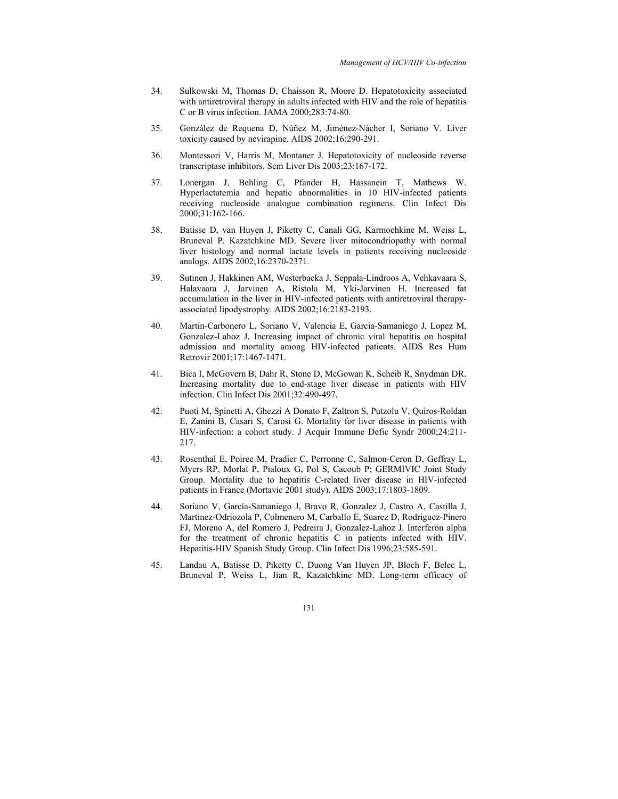- 34. Sulkowski M, Thomas D, Chaisson R, Moore D. Hepatotoxicity associated with antiretroviral therapy in adults infected with HIV and the role of hepatitis C or B virus infection. JAMA 2000;283:74-80.
- 35. González de Requena D, Núñez M, Jiménez-Nácher I, Soriano V. Liver toxicity caused by nevirapine. AIDS 2002;16:290-291.
- 36. Montessori V, Harris M, Montaner J. Hepatotoxicity of nucleoside reverse transcriptase inhibitors. Sem Liver Dis 2003;23:167-172.
- 37. Lonergan J, Behling C, Pfander H, Hassanein T, Mathews W. Hyperlactatemia and hepatic abnormalities in 10 HIV-infected patients receiving nucleoside analogue combination regimens. Clin Infect Dis 2000;31:162-166.
- 38. Batisse D, van Huyen J, Piketty C, Canali GG, Karmochkine M, Weiss L, Bruneval P, Kazatchkine MD. Severe liver mitocondriopathy with normal liver histology and normal lactate levels in patients receiving nucleoside analogs. AIDS 2002;16:2370-2371.
- 39. Sutinen J, Hakkinen AM, Westerbacka J, Seppala-Lindroos A, Vehkavaara S, Halavaara J, Jarvinen A, Ristola M, Yki-Jarvinen H. Increased fat accumulation in the liver in HIV-infected patients with antiretroviral therapyassociated lipodystrophy. AIDS 2002;16:2183-2193.
- 40. Martin-Carbonero L, Soriano V, Valencia E, Garcia-Samaniego J, Lopez M, Gonzalez-Lahoz J. Increasing impact of chronic viral hepatitis on hospital admission and mortality among HIV-infected patients. AIDS Res Hum Retrovir 2001;17:1467-1471.
- 41. Bica I, McGovern B, Dahr R, Stone D, McGowan K, Scheib R, Snydman DR. Increasing mortality due to end-stage liver disease in patients with HIV infection. Clin Infect Dis 2001;32:490-497.
- 42. Puoti M, Spinetti A, Ghezzi A Donato F, Zaltron S, Putzolu V, Quiros-Roldan E, Zanini B, Casari S, Carosi G. Mortality for liver disease in patients with HIV-infection: a cohort study. J Acquir Immune Defic Syndr 2000;24:211- 217.
- 43. Rosenthal E, Poiree M, Pradier C, Perronne C, Salmon-Ceron D, Geffray L, Myers RP, Morlat P, Pialoux G, Pol S, Cacoub P; GERMIVIC Joint Study Group. Mortality due to hepatitis C-related liver disease in HIV-infected patients in France (Mortavic 2001 study). AIDS 2003;17:1803-1809.
- 44. Soriano V, García-Samaniego J, Bravo R, Gonzalez J, Castro A, Castilla J, Martinez-Odriozola P, Colmenero M, Carballo E, Suarez D, Rodriguez-Pinero FJ, Moreno A, del Romero J, Pedreira J, Gonzalez-Lahoz J. Interferon alpha for the treatment of chronic hepatitis C in patients infected with HIV. Hepatitis-HIV Spanish Study Group. Clin Infect Dis 1996;23:585-591.
- 45. Landau A, Batisse D, Piketty C, Duong Van Huyen JP, Bloch F, Belec L, Bruneval P, Weiss L, Jian R, Kazatchkine MD. Long-term efficacy of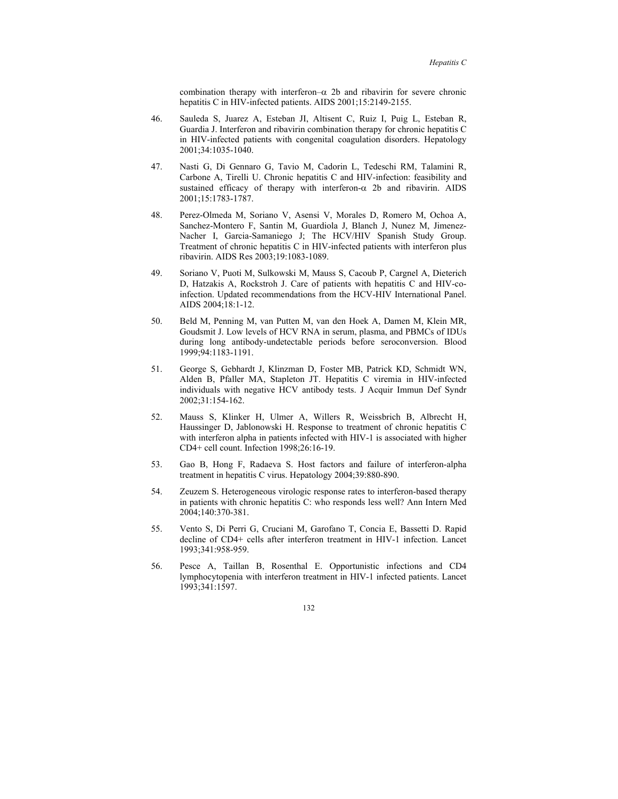combination therapy with interferon– $\alpha$  2b and ribavirin for severe chronic hepatitis C in HIV-infected patients. AIDS 2001;15:2149-2155.

- 46. Sauleda S, Juarez A, Esteban JI, Altisent C, Ruiz I, Puig L, Esteban R, Guardia J. Interferon and ribavirin combination therapy for chronic hepatitis C in HIV-infected patients with congenital coagulation disorders. Hepatology 2001;34:1035-1040.
- 47. Nasti G, Di Gennaro G, Tavio M, Cadorin L, Tedeschi RM, Talamini R, Carbone A, Tirelli U. Chronic hepatitis C and HIV-infection: feasibility and sustained efficacy of therapy with interferon- $\alpha$  2b and ribavirin. AIDS 2001;15:1783-1787.
- 48. Perez-Olmeda M, Soriano V, Asensi V, Morales D, Romero M, Ochoa A, Sanchez-Montero F, Santin M, Guardiola J, Blanch J, Nunez M, Jimenez-Nacher I, Garcia-Samaniego J; The HCV/HIV Spanish Study Group. Treatment of chronic hepatitis C in HIV-infected patients with interferon plus ribavirin. AIDS Res 2003;19:1083-1089.
- 49. Soriano V, Puoti M, Sulkowski M, Mauss S, Cacoub P, Cargnel A, Dieterich D, Hatzakis A, Rockstroh J. Care of patients with hepatitis C and HIV-coinfection. Updated recommendations from the HCV-HIV International Panel. AIDS 2004;18:1-12.
- 50. Beld M, Penning M, van Putten M, van den Hoek A, Damen M, Klein MR, Goudsmit J. Low levels of HCV RNA in serum, plasma, and PBMCs of IDUs during long antibody-undetectable periods before seroconversion. Blood 1999;94:1183-1191.
- 51. George S, Gebhardt J, Klinzman D, Foster MB, Patrick KD, Schmidt WN, Alden B, Pfaller MA, Stapleton JT. Hepatitis C viremia in HIV-infected individuals with negative HCV antibody tests. J Acquir Immun Def Syndr 2002;31:154-162.
- 52. Mauss S, Klinker H, Ulmer A, Willers R, Weissbrich B, Albrecht H, Haussinger D, Jablonowski H. Response to treatment of chronic hepatitis C with interferon alpha in patients infected with HIV-1 is associated with higher CD4+ cell count. Infection 1998;26:16-19.
- 53. Gao B, Hong F, Radaeva S. Host factors and failure of interferon-alpha treatment in hepatitis C virus. Hepatology 2004;39:880-890.
- 54. Zeuzem S. Heterogeneous virologic response rates to interferon-based therapy in patients with chronic hepatitis C: who responds less well? Ann Intern Med 2004;140:370-381.
- 55. Vento S, Di Perri G, Cruciani M, Garofano T, Concia E, Bassetti D. Rapid decline of CD4+ cells after interferon treatment in HIV-1 infection. Lancet 1993;341:958-959.
- 56. Pesce A, Taillan B, Rosenthal E. Opportunistic infections and CD4 lymphocytopenia with interferon treatment in HIV-1 infected patients. Lancet 1993;341:1597.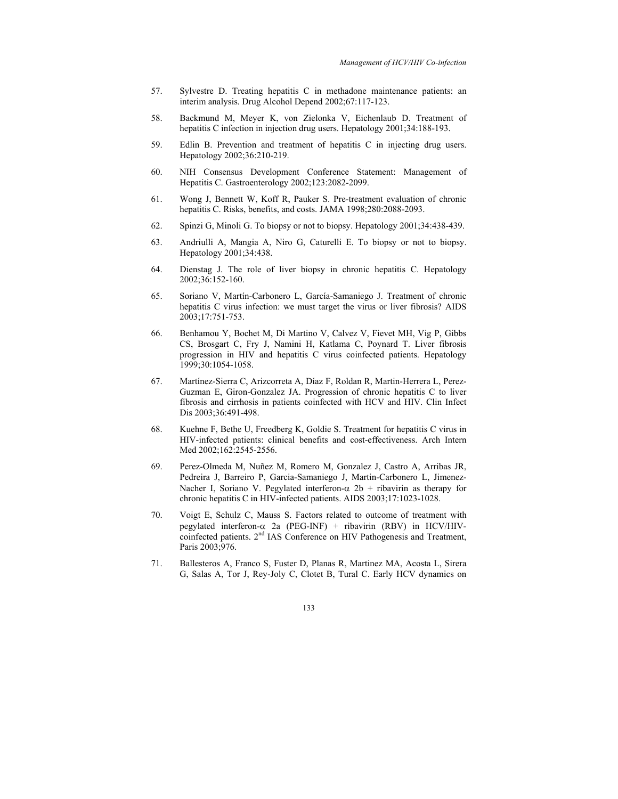- 57. Sylvestre D. Treating hepatitis C in methadone maintenance patients: an interim analysis. Drug Alcohol Depend 2002;67:117-123.
- 58. Backmund M, Meyer K, von Zielonka V, Eichenlaub D. Treatment of hepatitis C infection in injection drug users. Hepatology 2001;34:188-193.
- 59. Edlin B. Prevention and treatment of hepatitis C in injecting drug users. Hepatology 2002;36:210-219.
- 60. NIH Consensus Development Conference Statement: Management of Hepatitis C. Gastroenterology 2002;123:2082-2099.
- 61. Wong J, Bennett W, Koff R, Pauker S. Pre-treatment evaluation of chronic hepatitis C. Risks, benefits, and costs. JAMA 1998;280:2088-2093.
- 62. Spinzi G, Minoli G. To biopsy or not to biopsy. Hepatology 2001;34:438-439.
- 63. Andriulli A, Mangia A, Niro G, Caturelli E. To biopsy or not to biopsy. Hepatology 2001;34:438.
- 64. Dienstag J. The role of liver biopsy in chronic hepatitis C. Hepatology 2002;36:152-160.
- 65. Soriano V, Martín-Carbonero L, García-Samaniego J. Treatment of chronic hepatitis C virus infection: we must target the virus or liver fibrosis? AIDS 2003;17:751-753.
- 66. Benhamou Y, Bochet M, Di Martino V, Calvez V, Fievet MH, Vig P, Gibbs CS, Brosgart C, Fry J, Namini H, Katlama C, Poynard T. Liver fibrosis progression in HIV and hepatitis C virus coinfected patients. Hepatology 1999;30:1054-1058.
- 67. Martínez-Sierra C, Arizcorreta A, Díaz F, Roldan R, Martin-Herrera L, Perez-Guzman E, Giron-Gonzalez JA. Progression of chronic hepatitis C to liver fibrosis and cirrhosis in patients coinfected with HCV and HIV. Clin Infect Dis 2003;36:491-498.
- 68. Kuehne F, Bethe U, Freedberg K, Goldie S. Treatment for hepatitis C virus in HIV-infected patients: clinical benefits and cost-effectiveness. Arch Intern Med 2002;162:2545-2556.
- 69. Perez-Olmeda M, Nuñez M, Romero M, Gonzalez J, Castro A, Arribas JR, Pedreira J, Barreiro P, Garcia-Samaniego J, Martin-Carbonero L, Jimenez-Nacher I, Soriano V. Pegylated interferon- $\alpha$  2b + ribavirin as therapy for chronic hepatitis C in HIV-infected patients. AIDS 2003;17:1023-1028.
- 70. Voigt E, Schulz C, Mauss S. Factors related to outcome of treatment with pegylated interferon- $\alpha$  2a (PEG-INF) + ribavirin (RBV) in HCV/HIVcoinfected patients. 2<sup>nd</sup> IAS Conference on HIV Pathogenesis and Treatment, Paris 2003;976.
- 71. Ballesteros A, Franco S, Fuster D, Planas R, Martinez MA, Acosta L, Sirera G, Salas A, Tor J, Rey-Joly C, Clotet B, Tural C. Early HCV dynamics on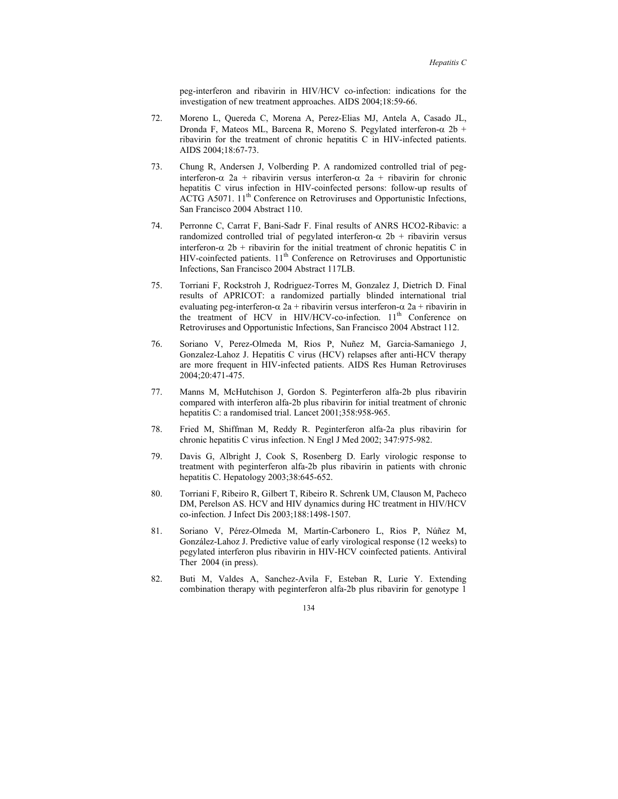peg-interferon and ribavirin in HIV/HCV co-infection: indications for the investigation of new treatment approaches. AIDS 2004;18:59-66.

- 72. Moreno L, Quereda C, Morena A, Perez-Elias MJ, Antela A, Casado JL, Dronda F, Mateos ML, Barcena R, Moreno S. Pegylated interferon-α 2b + ribavirin for the treatment of chronic hepatitis C in HIV-infected patients. AIDS 2004;18:67-73.
- 73. Chung R, Andersen J, Volberding P. A randomized controlled trial of peginterferon-α 2a + ribavirin versus interferon-α 2a + ribavirin for chronic hepatitis C virus infection in HIV-coinfected persons: follow-up results of ACTG A5071.  $11<sup>th</sup>$  Conference on Retroviruses and Opportunistic Infections, San Francisco 2004 Abstract 110.
- 74. Perronne C, Carrat F, Bani-Sadr F. Final results of ANRS HCO2-Ribavic: a randomized controlled trial of pegylated interferon- $\alpha$  2b + ribavirin versus interferon- $\alpha$  2b + ribavirin for the initial treatment of chronic hepatitis C in  $HIV$ -coinfected patients.  $11<sup>th</sup>$  Conference on Retroviruses and Opportunistic Infections, San Francisco 2004 Abstract 117LB.
- 75. Torriani F, Rockstroh J, Rodriguez-Torres M, Gonzalez J, Dietrich D. Final results of APRICOT: a randomized partially blinded international trial evaluating peg-interferon- $\alpha$  2a + ribavirin versus interferon- $\alpha$  2a + ribavirin in the treatment of HCV in HIV/HCV-co-infection. 11<sup>th</sup> Conference on Retroviruses and Opportunistic Infections, San Francisco 2004 Abstract 112.
- 76. Soriano V, Perez-Olmeda M, Rios P, Nuñez M, Garcia-Samaniego J, Gonzalez-Lahoz J. Hepatitis C virus (HCV) relapses after anti-HCV therapy are more frequent in HIV-infected patients. AIDS Res Human Retroviruses 2004;20:471-475.
- 77. Manns M, McHutchison J, Gordon S. Peginterferon alfa-2b plus ribavirin compared with interferon alfa-2b plus ribavirin for initial treatment of chronic hepatitis C: a randomised trial. Lancet 2001;358:958-965.
- 78. Fried M, Shiffman M, Reddy R. Peginterferon alfa-2a plus ribavirin for chronic hepatitis C virus infection. N Engl J Med 2002; 347:975-982.
- 79. Davis G, Albright J, Cook S, Rosenberg D. Early virologic response to treatment with peginterferon alfa-2b plus ribavirin in patients with chronic hepatitis C. Hepatology 2003;38:645-652.
- 80. Torriani F, Ribeiro R, Gilbert T, Ribeiro R. Schrenk UM, Clauson M, Pacheco DM, Perelson AS. HCV and HIV dynamics during HC treatment in HIV/HCV co-infection. J Infect Dis 2003;188:1498-1507.
- 81. Soriano V, Pérez-Olmeda M, Martín-Carbonero L, Rios P, Núñez M, González-Lahoz J. Predictive value of early virological response (12 weeks) to pegylated interferon plus ribavirin in HIV-HCV coinfected patients. Antiviral Ther 2004 (in press).
- 82. Buti M, Valdes A, Sanchez-Avila F, Esteban R, Lurie Y. Extending combination therapy with peginterferon alfa-2b plus ribavirin for genotype 1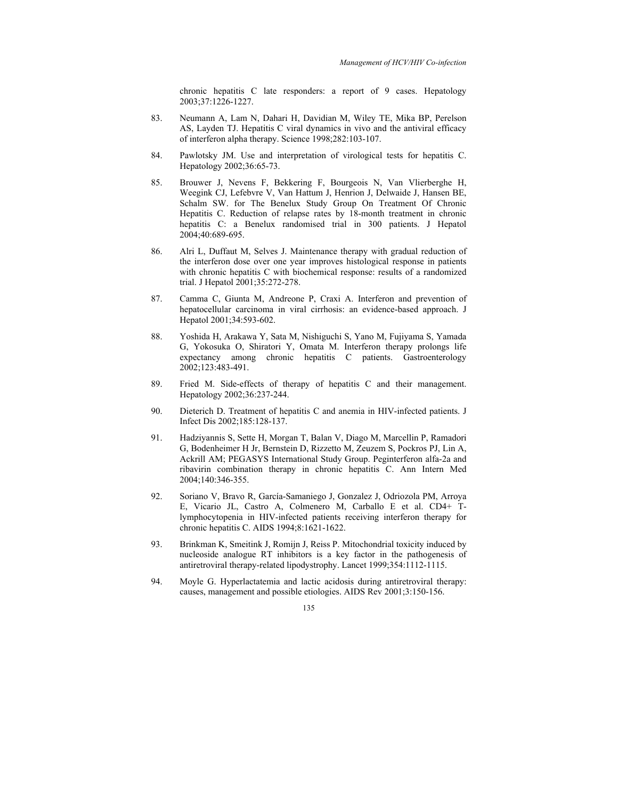chronic hepatitis C late responders: a report of 9 cases. Hepatology 2003;37:1226-1227.

- 83. Neumann A, Lam N, Dahari H, Davidian M, Wiley TE, Mika BP, Perelson AS, Layden TJ. Hepatitis C viral dynamics in vivo and the antiviral efficacy of interferon alpha therapy. Science 1998;282:103-107.
- 84. Pawlotsky JM. Use and interpretation of virological tests for hepatitis C. Hepatology 2002;36:65-73.
- 85. Brouwer J, Nevens F, Bekkering F, Bourgeois N, Van Vlierberghe H, Weegink CJ, Lefebvre V, Van Hattum J, Henrion J, Delwaide J, Hansen BE, Schalm SW. for The Benelux Study Group On Treatment Of Chronic Hepatitis C. Reduction of relapse rates by 18-month treatment in chronic hepatitis C: a Benelux randomised trial in 300 patients. J Hepatol 2004;40:689-695.
- 86. Alri L, Duffaut M, Selves J. Maintenance therapy with gradual reduction of the interferon dose over one year improves histological response in patients with chronic hepatitis C with biochemical response: results of a randomized trial. J Hepatol 2001;35:272-278.
- 87. Camma C, Giunta M, Andreone P, Craxi A. Interferon and prevention of hepatocellular carcinoma in viral cirrhosis: an evidence-based approach. J Hepatol 2001;34:593-602.
- 88. Yoshida H, Arakawa Y, Sata M, Nishiguchi S, Yano M, Fujiyama S, Yamada G, Yokosuka O, Shiratori Y, Omata M. Interferon therapy prolongs life expectancy among chronic hepatitis C patients. Gastroenterology 2002;123:483-491.
- 89. Fried M. Side-effects of therapy of hepatitis C and their management. Hepatology 2002;36:237-244.
- 90. Dieterich D. Treatment of hepatitis C and anemia in HIV-infected patients. J Infect Dis 2002;185:128-137.
- 91. Hadziyannis S, Sette H, Morgan T, Balan V, Diago M, Marcellin P, Ramadori G, Bodenheimer H Jr, Bernstein D, Rizzetto M, Zeuzem S, Pockros PJ, Lin A, Ackrill AM; PEGASYS International Study Group. Peginterferon alfa-2a and ribavirin combination therapy in chronic hepatitis C. Ann Intern Med 2004;140:346-355.
- 92. Soriano V, Bravo R, García-Samaniego J, Gonzalez J, Odriozola PM, Arroya E, Vicario JL, Castro A, Colmenero M, Carballo E et al. CD4+ Tlymphocytopenia in HIV-infected patients receiving interferon therapy for chronic hepatitis C. AIDS 1994;8:1621-1622.
- 93. Brinkman K, Smeitink J, Romijn J, Reiss P. Mitochondrial toxicity induced by nucleoside analogue RT inhibitors is a key factor in the pathogenesis of antiretroviral therapy-related lipodystrophy. Lancet 1999;354:1112-1115.
- 94. Moyle G. Hyperlactatemia and lactic acidosis during antiretroviral therapy: causes, management and possible etiologies. AIDS Rev 2001;3:150-156.